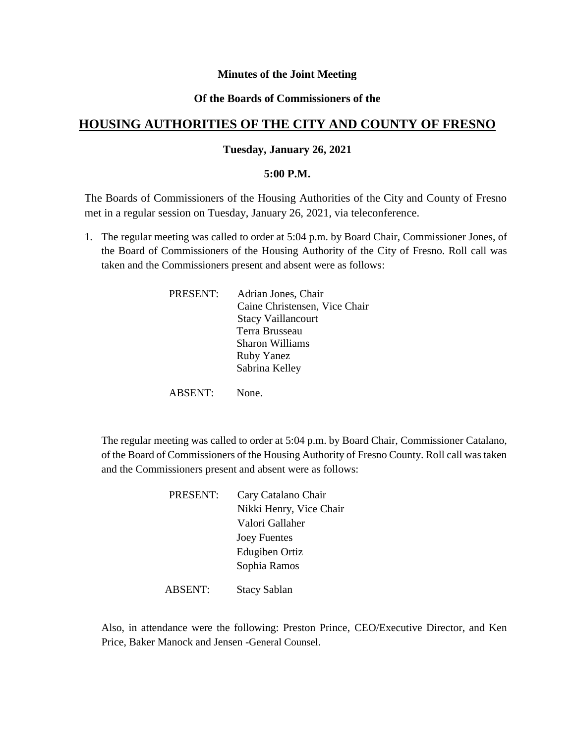# **Minutes of the Joint Meeting**

# **Of the Boards of Commissioners of the**

# **HOUSING AUTHORITIES OF THE CITY AND COUNTY OF FRESNO**

# **Tuesday, January 26, 2021**

#### **5:00 P.M.**

The Boards of Commissioners of the Housing Authorities of the City and County of Fresno met in a regular session on Tuesday, January 26, 2021, via teleconference.

1. The regular meeting was called to order at 5:04 p.m. by Board Chair, Commissioner Jones, of the Board of Commissioners of the Housing Authority of the City of Fresno. Roll call was taken and the Commissioners present and absent were as follows:

| PRESENT: | Adrian Jones, Chair<br>Caine Christensen, Vice Chair<br><b>Stacy Vaillancourt</b><br>Terra Brusseau<br>Sharon Williams<br><b>Ruby Yanez</b> |
|----------|---------------------------------------------------------------------------------------------------------------------------------------------|
|          | Sabrina Kelley                                                                                                                              |
| BSENT: - | None.                                                                                                                                       |

The regular meeting was called to order at 5:04 p.m. by Board Chair, Commissioner Catalano, of the Board of Commissioners of the Housing Authority of Fresno County. Roll call was taken and the Commissioners present and absent were as follows:

| PRESENT: | Cary Catalano Chair     |
|----------|-------------------------|
|          | Nikki Henry, Vice Chair |
|          | Valori Gallaher         |
|          | <b>Joey Fuentes</b>     |
|          | Edugiben Ortiz          |
|          | Sophia Ramos            |
|          |                         |

ABSENT: Stacy Sablan

Also, in attendance were the following: Preston Prince, CEO/Executive Director, and Ken Price, Baker Manock and Jensen -General Counsel.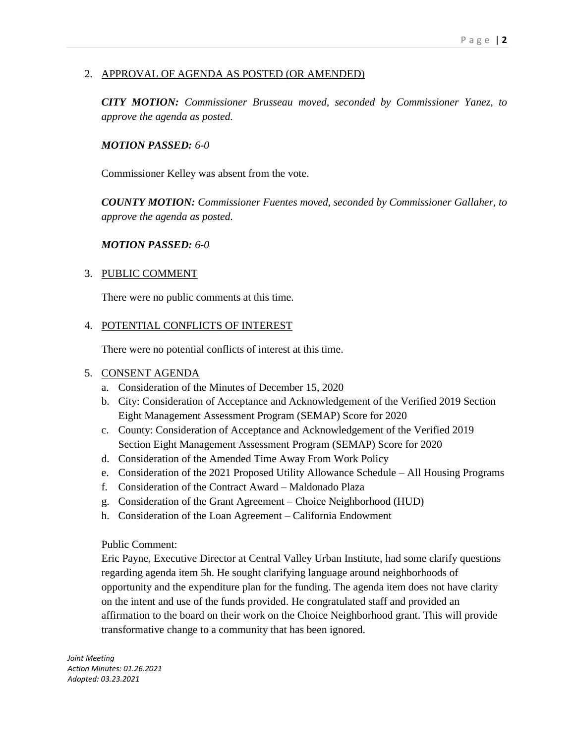# 2. APPROVAL OF AGENDA AS POSTED (OR AMENDED)

*CITY MOTION: Commissioner Brusseau moved, seconded by Commissioner Yanez, to approve the agenda as posted.*

# *MOTION PASSED: 6-0*

Commissioner Kelley was absent from the vote.

*COUNTY MOTION: Commissioner Fuentes moved, seconded by Commissioner Gallaher, to approve the agenda as posted.*

# *MOTION PASSED: 6-0*

# 3. PUBLIC COMMENT

There were no public comments at this time.

# 4. POTENTIAL CONFLICTS OF INTEREST

There were no potential conflicts of interest at this time.

# 5. CONSENT AGENDA

- a. Consideration of the Minutes of December 15, 2020
- b. City: Consideration of Acceptance and Acknowledgement of the Verified 2019 Section Eight Management Assessment Program (SEMAP) Score for 2020
- c. County: Consideration of Acceptance and Acknowledgement of the Verified 2019 Section Eight Management Assessment Program (SEMAP) Score for 2020
- d. Consideration of the Amended Time Away From Work Policy
- e. Consideration of the 2021 Proposed Utility Allowance Schedule All Housing Programs
- f. Consideration of the Contract Award Maldonado Plaza
- g. Consideration of the Grant Agreement Choice Neighborhood (HUD)
- h. Consideration of the Loan Agreement California Endowment

Public Comment:

Eric Payne, Executive Director at Central Valley Urban Institute, had some clarify questions regarding agenda item 5h. He sought clarifying language around neighborhoods of opportunity and the expenditure plan for the funding. The agenda item does not have clarity on the intent and use of the funds provided. He congratulated staff and provided an affirmation to the board on their work on the Choice Neighborhood grant. This will provide transformative change to a community that has been ignored.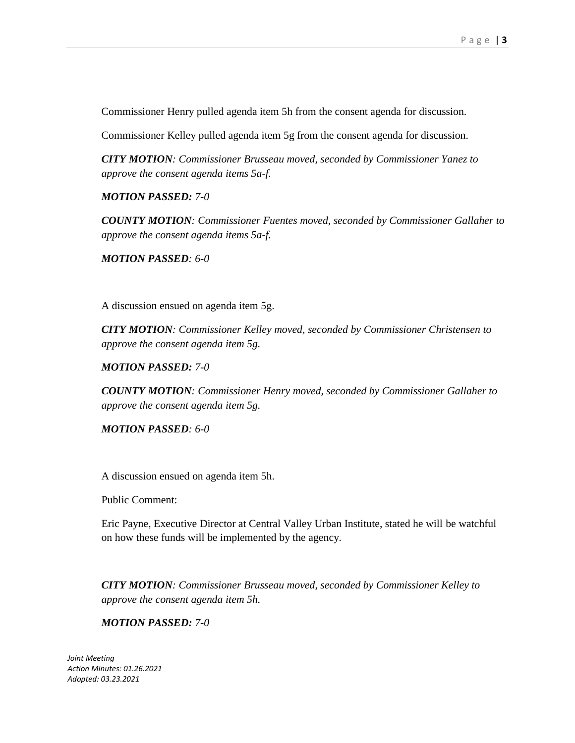Commissioner Henry pulled agenda item 5h from the consent agenda for discussion.

Commissioner Kelley pulled agenda item 5g from the consent agenda for discussion.

*CITY MOTION: Commissioner Brusseau moved, seconded by Commissioner Yanez to approve the consent agenda items 5a-f.*

*MOTION PASSED: 7-0*

*COUNTY MOTION: Commissioner Fuentes moved, seconded by Commissioner Gallaher to approve the consent agenda items 5a-f.*

*MOTION PASSED: 6-0*

A discussion ensued on agenda item 5g.

*CITY MOTION: Commissioner Kelley moved, seconded by Commissioner Christensen to approve the consent agenda item 5g.*

*MOTION PASSED: 7-0*

*COUNTY MOTION: Commissioner Henry moved, seconded by Commissioner Gallaher to approve the consent agenda item 5g.*

*MOTION PASSED: 6-0*

A discussion ensued on agenda item 5h.

Public Comment:

Eric Payne, Executive Director at Central Valley Urban Institute, stated he will be watchful on how these funds will be implemented by the agency.

*CITY MOTION: Commissioner Brusseau moved, seconded by Commissioner Kelley to approve the consent agenda item 5h.*

*MOTION PASSED: 7-0*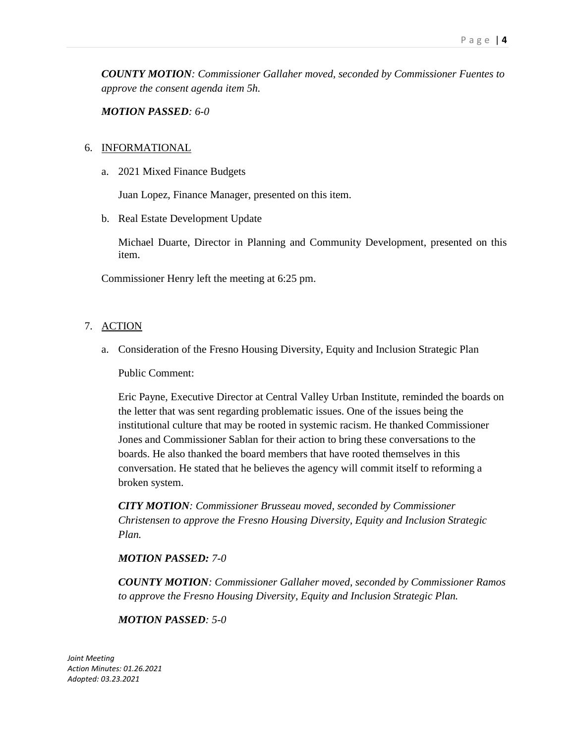*COUNTY MOTION: Commissioner Gallaher moved, seconded by Commissioner Fuentes to approve the consent agenda item 5h.*

*MOTION PASSED: 6-0*

# 6. INFORMATIONAL

a. 2021 Mixed Finance Budgets

Juan Lopez, Finance Manager, presented on this item.

b. Real Estate Development Update

Michael Duarte, Director in Planning and Community Development, presented on this item.

Commissioner Henry left the meeting at 6:25 pm.

# 7. ACTION

a. Consideration of the Fresno Housing Diversity, Equity and Inclusion Strategic Plan

Public Comment:

Eric Payne, Executive Director at Central Valley Urban Institute, reminded the boards on the letter that was sent regarding problematic issues. One of the issues being the institutional culture that may be rooted in systemic racism. He thanked Commissioner Jones and Commissioner Sablan for their action to bring these conversations to the boards. He also thanked the board members that have rooted themselves in this conversation. He stated that he believes the agency will commit itself to reforming a broken system.

*CITY MOTION: Commissioner Brusseau moved, seconded by Commissioner Christensen to approve the Fresno Housing Diversity, Equity and Inclusion Strategic Plan.*

# *MOTION PASSED: 7-0*

*COUNTY MOTION: Commissioner Gallaher moved, seconded by Commissioner Ramos to approve the Fresno Housing Diversity, Equity and Inclusion Strategic Plan.*

# *MOTION PASSED: 5-0*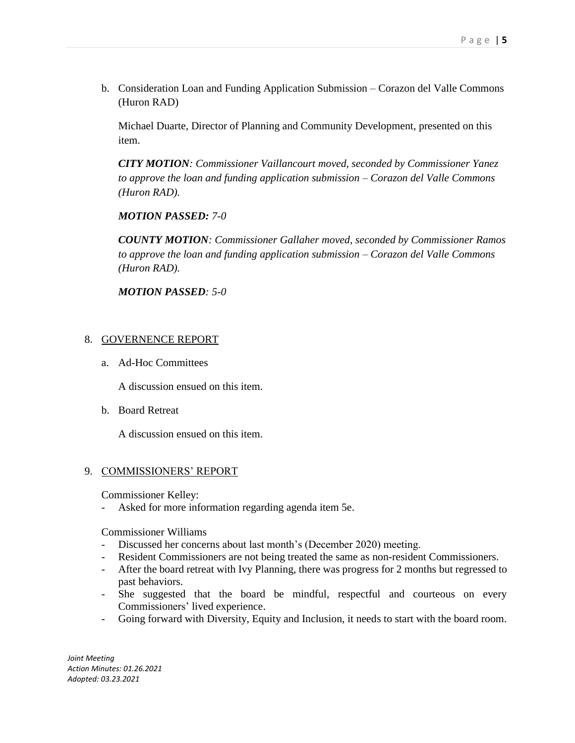b. Consideration Loan and Funding Application Submission – Corazon del Valle Commons (Huron RAD)

Michael Duarte, Director of Planning and Community Development, presented on this item.

*CITY MOTION: Commissioner Vaillancourt moved, seconded by Commissioner Yanez to approve the loan and funding application submission – Corazon del Valle Commons (Huron RAD).*

*MOTION PASSED: 7-0*

*COUNTY MOTION: Commissioner Gallaher moved, seconded by Commissioner Ramos to approve the loan and funding application submission – Corazon del Valle Commons (Huron RAD).*

*MOTION PASSED: 5-0*

# 8. GOVERNENCE REPORT

a. Ad-Hoc Committees

A discussion ensued on this item.

b. Board Retreat

A discussion ensued on this item.

# 9. COMMISSIONERS' REPORT

Commissioner Kelley:

- Asked for more information regarding agenda item 5e.

Commissioner Williams

- Discussed her concerns about last month's (December 2020) meeting.
- Resident Commissioners are not being treated the same as non-resident Commissioners.
- After the board retreat with Ivy Planning, there was progress for 2 months but regressed to past behaviors.
- She suggested that the board be mindful, respectful and courteous on every Commissioners' lived experience.
- Going forward with Diversity, Equity and Inclusion, it needs to start with the board room.